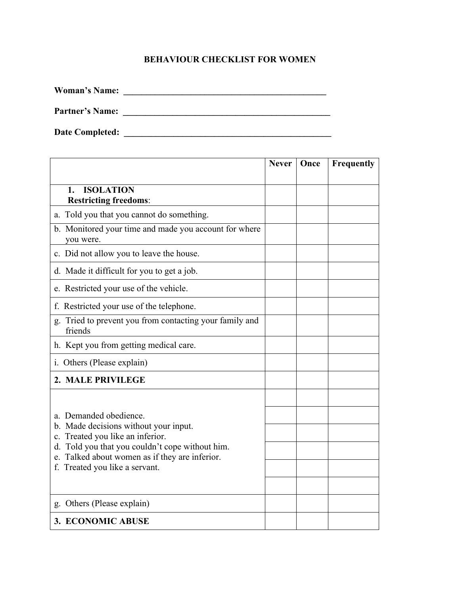## **BEHAVIOUR CHECKLIST FOR WOMEN**

**Woman's Name: \_\_\_\_\_\_\_\_\_\_\_\_\_\_\_\_\_\_\_\_\_\_\_\_\_\_\_\_\_\_\_\_\_\_\_\_\_\_\_\_\_\_\_\_\_**

**Partner's Name: \_\_\_\_\_\_\_\_\_\_\_\_\_\_\_\_\_\_\_\_\_\_\_\_\_\_\_\_\_\_\_\_\_\_\_\_\_\_\_\_\_\_\_\_\_\_**

**Date Completed: \_\_\_\_\_\_\_\_\_\_\_\_\_\_\_\_\_\_\_\_\_\_\_\_\_\_\_\_\_\_\_\_\_\_\_\_\_\_\_\_\_\_\_\_\_\_**

|                                                                                                                                                                                                                                            | <b>Never</b> | Once | Frequently |
|--------------------------------------------------------------------------------------------------------------------------------------------------------------------------------------------------------------------------------------------|--------------|------|------------|
| <b>ISOLATION</b><br>1.<br><b>Restricting freedoms:</b>                                                                                                                                                                                     |              |      |            |
| a. Told you that you cannot do something.                                                                                                                                                                                                  |              |      |            |
| b. Monitored your time and made you account for where<br>you were.                                                                                                                                                                         |              |      |            |
| c. Did not allow you to leave the house.                                                                                                                                                                                                   |              |      |            |
| d. Made it difficult for you to get a job.                                                                                                                                                                                                 |              |      |            |
| e. Restricted your use of the vehicle.                                                                                                                                                                                                     |              |      |            |
| f. Restricted your use of the telephone.                                                                                                                                                                                                   |              |      |            |
| g. Tried to prevent you from contacting your family and<br>friends                                                                                                                                                                         |              |      |            |
| h. Kept you from getting medical care.                                                                                                                                                                                                     |              |      |            |
| i. Others (Please explain)                                                                                                                                                                                                                 |              |      |            |
| 2. MALE PRIVILEGE                                                                                                                                                                                                                          |              |      |            |
|                                                                                                                                                                                                                                            |              |      |            |
| a. Demanded obedience.<br>b. Made decisions without your input.<br>c. Treated you like an inferior.<br>d. Told you that you couldn't cope without him.<br>e. Talked about women as if they are inferior.<br>f. Treated you like a servant. |              |      |            |
|                                                                                                                                                                                                                                            |              |      |            |
|                                                                                                                                                                                                                                            |              |      |            |
|                                                                                                                                                                                                                                            |              |      |            |
|                                                                                                                                                                                                                                            |              |      |            |
| g. Others (Please explain)                                                                                                                                                                                                                 |              |      |            |
| 3. ECONOMIC ABUSE                                                                                                                                                                                                                          |              |      |            |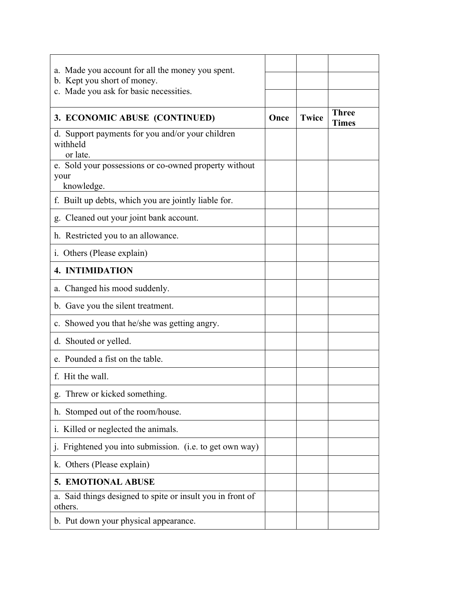| a. Made you account for all the money you spent.<br>b. Kept you short of money.<br>c. Made you ask for basic necessities. |      |              |                              |
|---------------------------------------------------------------------------------------------------------------------------|------|--------------|------------------------------|
| 3. ECONOMIC ABUSE (CONTINUED)                                                                                             | Once | <b>Twice</b> | <b>Three</b><br><b>Times</b> |
| d. Support payments for you and/or your children<br>withheld<br>or late.                                                  |      |              |                              |
| e. Sold your possessions or co-owned property without<br>your<br>knowledge.                                               |      |              |                              |
| f. Built up debts, which you are jointly liable for.                                                                      |      |              |                              |
| g. Cleaned out your joint bank account.                                                                                   |      |              |                              |
| h. Restricted you to an allowance.                                                                                        |      |              |                              |
| i. Others (Please explain)                                                                                                |      |              |                              |
| 4. INTIMIDATION                                                                                                           |      |              |                              |
| a. Changed his mood suddenly.                                                                                             |      |              |                              |
| b. Gave you the silent treatment.                                                                                         |      |              |                              |
| c. Showed you that he/she was getting angry.                                                                              |      |              |                              |
| d. Shouted or yelled.                                                                                                     |      |              |                              |
| e. Pounded a fist on the table.                                                                                           |      |              |                              |
| f. Hit the wall.                                                                                                          |      |              |                              |
| Threw or kicked something.                                                                                                |      |              |                              |
| h. Stomped out of the room/house.                                                                                         |      |              |                              |
| i. Killed or neglected the animals.                                                                                       |      |              |                              |
| Frightened you into submission. (i.e. to get own way)                                                                     |      |              |                              |
| k. Others (Please explain)                                                                                                |      |              |                              |
| 5. EMOTIONAL ABUSE                                                                                                        |      |              |                              |
| a. Said things designed to spite or insult you in front of<br>others.                                                     |      |              |                              |
| b. Put down your physical appearance.                                                                                     |      |              |                              |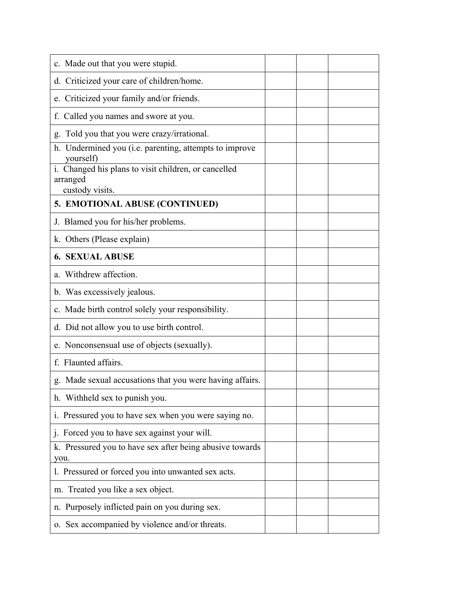| c. Made out that you were stupid.                                                   |  |  |
|-------------------------------------------------------------------------------------|--|--|
| d. Criticized your care of children/home.                                           |  |  |
| e. Criticized your family and/or friends.                                           |  |  |
| f. Called you names and swore at you.                                               |  |  |
| g. Told you that you were crazy/irrational.                                         |  |  |
| h. Undermined you (i.e. parenting, attempts to improve<br>yourself)                 |  |  |
| i. Changed his plans to visit children, or cancelled<br>arranged<br>custody visits. |  |  |
| 5. EMOTIONAL ABUSE (CONTINUED)                                                      |  |  |
| J. Blamed you for his/her problems.                                                 |  |  |
| k. Others (Please explain)                                                          |  |  |
| <b>6. SEXUAL ABUSE</b>                                                              |  |  |
| a. Withdrew affection.                                                              |  |  |
| b. Was excessively jealous.                                                         |  |  |
| c. Made birth control solely your responsibility.                                   |  |  |
| d. Did not allow you to use birth control.                                          |  |  |
| e. Nonconsensual use of objects (sexually).                                         |  |  |
| f. Flaunted affairs.                                                                |  |  |
| g. Made sexual accusations that you were having affairs.                            |  |  |
| h. Withheld sex to punish you.                                                      |  |  |
| i. Pressured you to have sex when you were saying no.                               |  |  |
| j. Forced you to have sex against your will.                                        |  |  |
| k. Pressured you to have sex after being abusive towards<br>you.                    |  |  |
| 1. Pressured or forced you into unwanted sex acts.                                  |  |  |
| m. Treated you like a sex object.                                                   |  |  |
| n. Purposely inflicted pain on you during sex.                                      |  |  |
| o. Sex accompanied by violence and/or threats.                                      |  |  |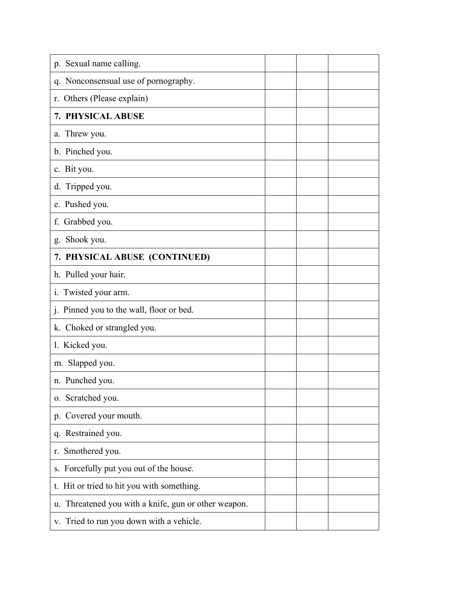| p. Sexual name calling.                              |  |  |
|------------------------------------------------------|--|--|
| q. Nonconsensual use of pornography.                 |  |  |
| r. Others (Please explain)                           |  |  |
| 7. PHYSICAL ABUSE                                    |  |  |
| a. Threw you.                                        |  |  |
| b. Pinched you.                                      |  |  |
| c. Bit you.                                          |  |  |
| d. Tripped you.                                      |  |  |
| e. Pushed you.                                       |  |  |
| f. Grabbed you.                                      |  |  |
| Shook you.<br>g.                                     |  |  |
| 7. PHYSICAL ABUSE (CONTINUED)                        |  |  |
| h. Pulled your hair.                                 |  |  |
| Twisted your arm.<br>1.                              |  |  |
| j. Pinned you to the wall, floor or bed.             |  |  |
| k. Choked or strangled you.                          |  |  |
| 1. Kicked you.                                       |  |  |
| m. Slapped you.                                      |  |  |
| n. Punched you.                                      |  |  |
| o. Scratched you.                                    |  |  |
| Covered your mouth.<br>$p_{\text{}}$                 |  |  |
| q. Restrained you.                                   |  |  |
| r. Smothered you.                                    |  |  |
| s. Forcefully put you out of the house.              |  |  |
| t. Hit or tried to hit you with something.           |  |  |
| u. Threatened you with a knife, gun or other weapon. |  |  |
| v. Tried to run you down with a vehicle.             |  |  |